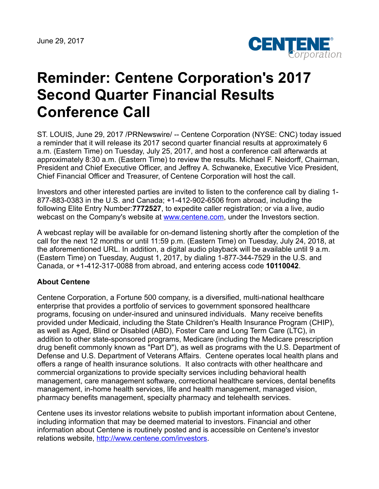

## **Reminder: Centene Corporation's 2017 Second Quarter Financial Results Conference Call**

ST. LOUIS, June 29, 2017 /PRNewswire/ -- Centene Corporation (NYSE: CNC) today issued a reminder that it will release its 2017 second quarter financial results at approximately 6 a.m. (Eastern Time) on Tuesday, July 25, 2017, and host a conference call afterwards at approximately 8:30 a.m. (Eastern Time) to review the results. Michael F. Neidorff, Chairman, President and Chief Executive Officer, and Jeffrey A. Schwaneke, Executive Vice President, Chief Financial Officer and Treasurer, of Centene Corporation will host the call.

Investors and other interested parties are invited to listen to the conference call by dialing 1- 877-883-0383 in the U.S. and Canada; +1-412-902-6506 from abroad, including the following Elite Entry Number:**7772527**, to expedite caller registration; or via a live, audio webcast on the Company's website at **www.centene.com**, under the Investors section.

A webcast replay will be available for on-demand listening shortly after the completion of the call for the next 12 months or until 11:59 p.m. (Eastern Time) on Tuesday, July 24, 2018, at the aforementioned URL. In addition, a digital audio playback will be available until 9 a.m. (Eastern Time) on Tuesday, August 1, 2017, by dialing 1-877-344-7529 in the U.S. and Canada, or +1-412-317-0088 from abroad, and entering access code **10110042**.

## **About Centene**

Centene Corporation, a Fortune 500 company, is a diversified, multi-national healthcare enterprise that provides a portfolio of services to government sponsored healthcare programs, focusing on under-insured and uninsured individuals. Many receive benefits provided under Medicaid, including the State Children's Health Insurance Program (CHIP), as well as Aged, Blind or Disabled (ABD), Foster Care and Long Term Care (LTC), in addition to other state-sponsored programs, Medicare (including the Medicare prescription drug benefit commonly known as "Part D"), as well as programs with the U.S. Department of Defense and U.S. Department of Veterans Affairs. Centene operates local health plans and offers a range of health insurance solutions. It also contracts with other healthcare and commercial organizations to provide specialty services including behavioral health management, care management software, correctional healthcare services, dental benefits management, in-home health services, life and health management, managed vision, pharmacy benefits management, specialty pharmacy and telehealth services.

Centene uses its investor relations website to publish important information about Centene, including information that may be deemed material to investors. Financial and other information about Centene is routinely posted and is accessible on Centene's investor relations website, <http://www.centene.com/investors>.